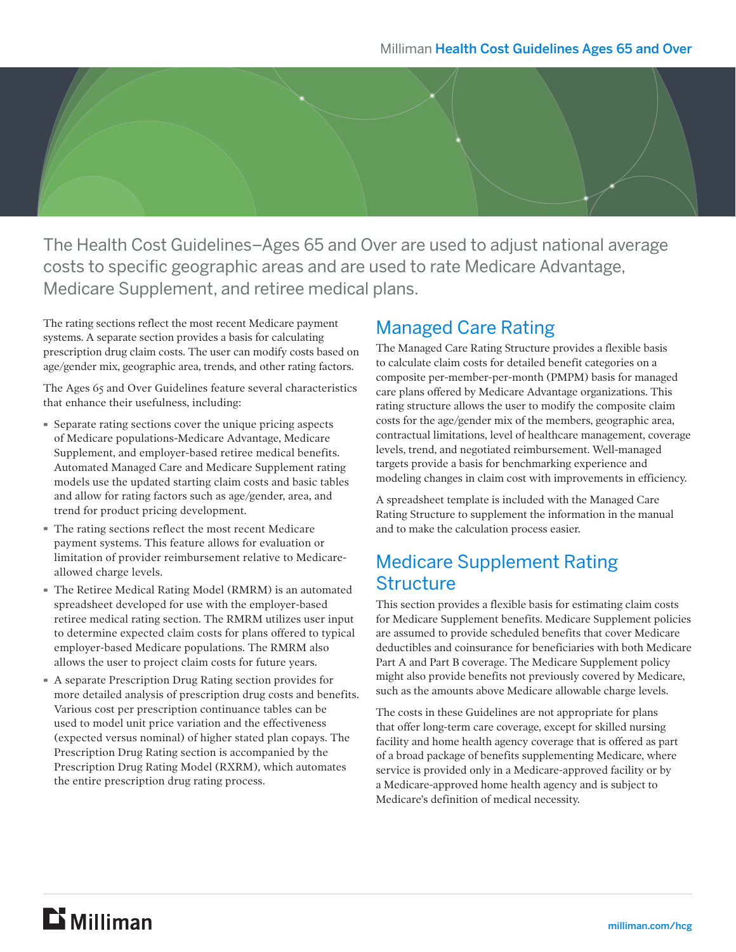

The Health Cost Guidelines–Ages 65 and Over are used to adjust national average costs to specific geographic areas and are used to rate Medicare Advantage, Medicare Supplement, and retiree medical plans.

The rating sections reflect the most recent Medicare payment systems. A separate section provides a basis for calculating prescription drug claim costs. The user can modify costs based on age/gender mix, geographic area, trends, and other rating factors.

The Ages 65 and Over Guidelines feature several characteristics that enhance their usefulness, including:

- · Separate rating sections cover the unique pricing aspects of Medicare populations-Medicare Advantage, Medicare Supplement, and employer-based retiree medical benefits. Automated Managed Care and Medicare Supplement rating models use the updated starting claim costs and basic tables and allow for rating factors such as age/gender, area, and trend for product pricing development.
- · The rating sections reflect the most recent Medicare payment systems. This feature allows for evaluation or limitation of provider reimbursement relative to Medicareallowed charge levels.
- · The Retiree Medical Rating Model (RMRM) is an automated spreadsheet developed for use with the employer-based retiree medical rating section. The RMRM utilizes user input to determine expected claim costs for plans offered to typical employer-based Medicare populations. The RMRM also allows the user to project claim costs for future years.
- · A separate Prescription Drug Rating section provides for more detailed analysis of prescription drug costs and benefits. Various cost per prescription continuance tables can be used to model unit price variation and the effectiveness (expected versus nominal) of higher stated plan copays. The Prescription Drug Rating section is accompanied by the Prescription Drug Rating Model (RXRM), which automates the entire prescription drug rating process.

#### Managed Care Rating

The Managed Care Rating Structure provides a flexible basis to calculate claim costs for detailed benefit categories on a composite per-member-per-month (PMPM) basis for managed care plans offered by Medicare Advantage organizations. This rating structure allows the user to modify the composite claim costs for the age/gender mix of the members, geographic area, contractual limitations, level of healthcare management, coverage levels, trend, and negotiated reimbursement. Well-managed targets provide a basis for benchmarking experience and modeling changes in claim cost with improvements in efficiency.

A spreadsheet template is included with the Managed Care Rating Structure to supplement the information in the manual and to make the calculation process easier.

#### Medicare Supplement Rating **Structure**

This section provides a flexible basis for estimating claim costs for Medicare Supplement benefits. Medicare Supplement policies are assumed to provide scheduled benefits that cover Medicare deductibles and coinsurance for beneficiaries with both Medicare Part A and Part B coverage. The Medicare Supplement policy might also provide benefits not previously covered by Medicare, such as the amounts above Medicare allowable charge levels.

The costs in these Guidelines are not appropriate for plans that offer long-term care coverage, except for skilled nursing facility and home health agency coverage that is offered as part of a broad package of benefits supplementing Medicare, where service is provided only in a Medicare-approved facility or by a Medicare-approved home health agency and is subject to Medicare's definition of medical necessity.